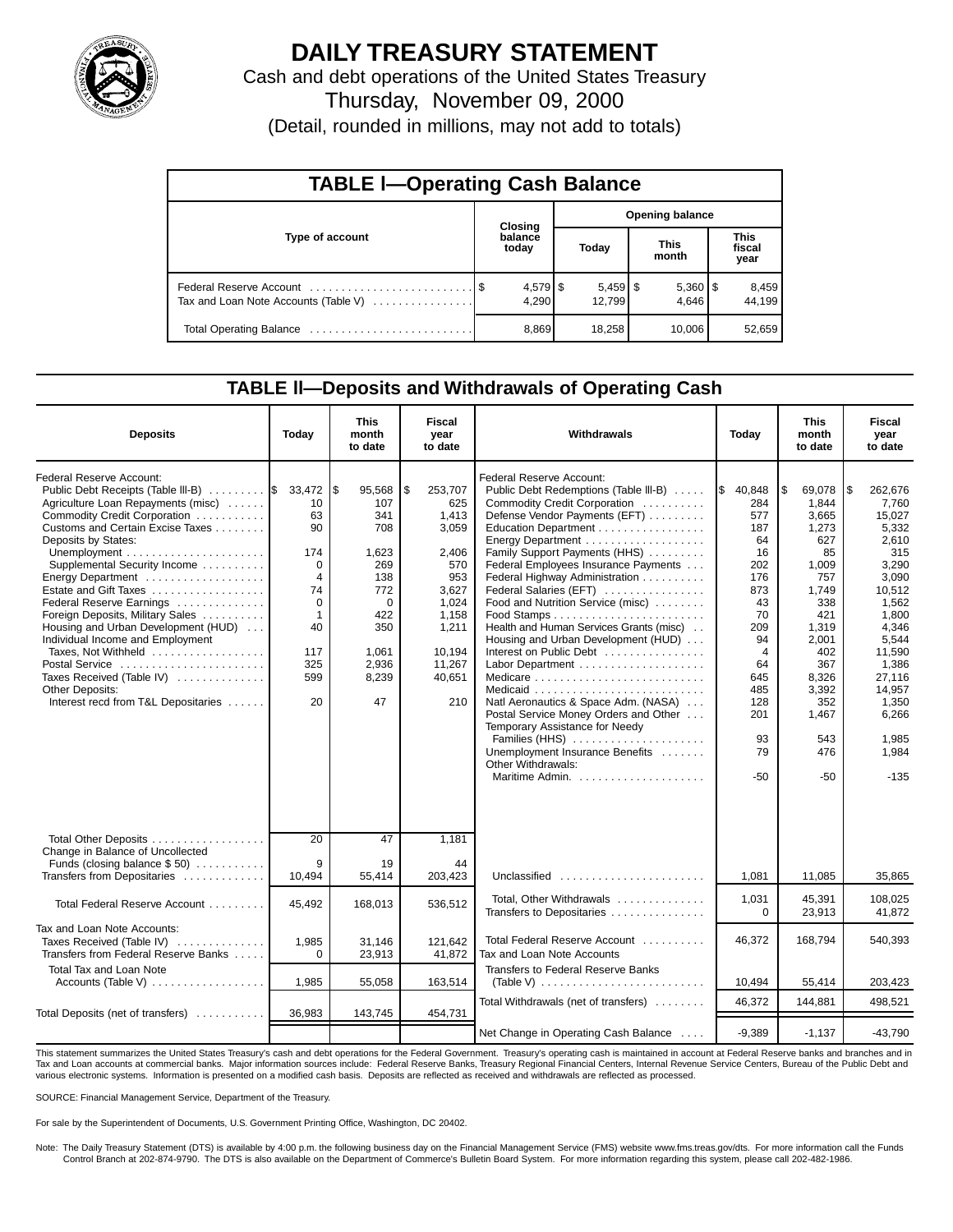

## **DAILY TREASURY STATEMENT**

Cash and debt operations of the United States Treasury

Thursday, November 09, 2000

(Detail, rounded in millions, may not add to totals)

| <b>TABLE I-Operating Cash Balance</b> |  |                  |                        |                                 |                      |                       |                               |                 |  |
|---------------------------------------|--|------------------|------------------------|---------------------------------|----------------------|-----------------------|-------------------------------|-----------------|--|
|                                       |  | <b>Closing</b>   | <b>Opening balance</b> |                                 |                      |                       |                               |                 |  |
| Type of account                       |  | balance<br>today |                        | Today                           | <b>This</b><br>month |                       | <b>This</b><br>fiscal<br>year |                 |  |
| Tax and Loan Note Accounts (Table V)  |  | 4.290            |                        | $5,459$ $\frac{1}{3}$<br>12,799 |                      | $5,360$   \$<br>4.646 |                               | 8,459<br>44.199 |  |
|                                       |  | 8,869            |                        | 18,258                          |                      | 10.006                |                               | 52,659          |  |

### **TABLE ll—Deposits and Withdrawals of Operating Cash**

| <b>Deposits</b>                                                                                                 | Today                             | <b>This</b><br>month<br>to date | Fiscal<br>year<br>to date  | Withdrawals                                                                                               | Today                       | <b>This</b><br>month<br>to date | <b>Fiscal</b><br>year<br>to date |
|-----------------------------------------------------------------------------------------------------------------|-----------------------------------|---------------------------------|----------------------------|-----------------------------------------------------------------------------------------------------------|-----------------------------|---------------------------------|----------------------------------|
| Federal Reserve Account:<br>Public Debt Receipts (Table III-B)  \$ 33,472<br>Agriculture Loan Repayments (misc) | 10                                | l\$<br>95,568<br>107            | \$<br>253,707<br>625       | Federal Reserve Account:<br>Public Debt Redemptions (Table III-B)<br>Commodity Credit Corporation         | I\$<br>40,848<br>284        | \$<br>69,078<br>1,844           | l\$<br>262,676<br>7,760          |
| Commodity Credit Corporation<br>Customs and Certain Excise Taxes<br>Deposits by States:                         | 63<br>90                          | 341<br>708                      | 1,413<br>3,059             | Defense Vendor Payments (EFT)<br>Education Department                                                     | 577<br>187<br>64            | 3.665<br>1,273<br>627           | 15,027<br>5,332<br>2.610         |
| Supplemental Security Income<br>Energy Department                                                               | 174<br>$\Omega$<br>$\overline{4}$ | 1,623<br>269<br>138             | 2.406<br>570<br>953        | Family Support Payments (HHS)<br>Federal Employees Insurance Payments<br>Federal Highway Administration   | 16<br>202<br>176            | 85<br>1,009<br>757              | 315<br>3,290<br>3,090            |
| Estate and Gift Taxes<br>Federal Reserve Earnings                                                               | 74<br>$\Omega$                    | 772<br>$\Omega$                 | 3.627<br>1.024             | Federal Salaries (EFT)<br>Food and Nutrition Service (misc)                                               | 873<br>43                   | 1,749<br>338                    | 10.512<br>1,562                  |
| Foreign Deposits, Military Sales<br>Housing and Urban Development (HUD)<br>Individual Income and Employment     | $\mathbf{1}$<br>40                | 422<br>350                      | 1.158<br>1,211             | Health and Human Services Grants (misc)<br>Housing and Urban Development (HUD)                            | 70<br>209<br>94             | 421<br>1,319<br>2,001           | 1.800<br>4.346<br>5,544          |
| Taxes, Not Withheld<br>Postal Service<br>Taxes Received (Table IV)                                              | 117<br>325<br>599                 | 1.061<br>2,936<br>8,239         | 10.194<br>11,267<br>40,651 | Interest on Public Debt                                                                                   | $\overline{4}$<br>64<br>645 | 402<br>367<br>8,326             | 11,590<br>1,386<br>27,116        |
| <b>Other Deposits:</b><br>Interest recd from T&L Depositaries                                                   | 20                                | 47                              | 210                        | Natl Aeronautics & Space Adm. (NASA)<br>Postal Service Money Orders and Other                             | 485<br>128<br>201           | 3,392<br>352<br>1,467           | 14,957<br>1,350<br>6,266         |
|                                                                                                                 |                                   |                                 |                            | Temporary Assistance for Needy<br>Families (HHS)<br>Unemployment Insurance Benefits<br>Other Withdrawals: | 93<br>79                    | 543<br>476                      | 1,985<br>1,984                   |
|                                                                                                                 |                                   |                                 |                            |                                                                                                           | -50                         | $-50$                           | $-135$                           |
| Total Other Deposits<br>Change in Balance of Uncollected                                                        | 20                                | 47                              | 1,181                      |                                                                                                           |                             |                                 |                                  |
| Funds (closing balance $$50$ )<br>Transfers from Depositaries                                                   | 9<br>10,494                       | 19<br>55,414                    | 44<br>203,423              | Unclassified $\ldots \ldots \ldots \ldots \ldots \ldots$                                                  | 1,081                       | 11,085                          | 35,865                           |
| Total Federal Reserve Account                                                                                   | 45,492                            | 168,013                         | 536,512                    | Total, Other Withdrawals<br>Transfers to Depositaries                                                     | 1,031<br>$\mathbf 0$        | 45.391<br>23,913                | 108.025<br>41,872                |
| Tax and Loan Note Accounts:<br>Taxes Received (Table IV)<br>Transfers from Federal Reserve Banks                | 1,985<br>$\Omega$                 | 31,146<br>23,913                | 121,642<br>41,872          | Total Federal Reserve Account<br>Tax and Loan Note Accounts                                               | 46,372                      | 168,794                         | 540,393                          |
| <b>Total Tax and Loan Note</b><br>Accounts (Table V) $\ldots \ldots \ldots \ldots \ldots$                       | 1,985                             | 55,058                          | 163,514                    | Transfers to Federal Reserve Banks                                                                        | 10,494                      | 55,414                          | 203,423                          |
| Total Deposits (net of transfers)                                                                               | 36,983                            | 143,745                         | 454,731                    | Total Withdrawals (net of transfers)                                                                      | 46.372                      | 144,881                         | 498.521                          |
|                                                                                                                 |                                   |                                 |                            | Net Change in Operating Cash Balance                                                                      | $-9.389$                    | $-1.137$                        | -43.790                          |

This statement summarizes the United States Treasury's cash and debt operations for the Federal Government. Treasury's operating cash is maintained in account at Federal Reserve banks and branches and in<br>Tax and Loan accou various electronic systems. Information is presented on a modified cash basis. Deposits are reflected as received and withdrawals are reflected as processed.

SOURCE: Financial Management Service, Department of the Treasury.

For sale by the Superintendent of Documents, U.S. Government Printing Office, Washington, DC 20402.

Note: The Daily Treasury Statement (DTS) is available by 4:00 p.m. the following business day on the Financial Management Service (FMS) website www.fms.treas.gov/dts. For more information call the Funds<br>Control Branch at 2